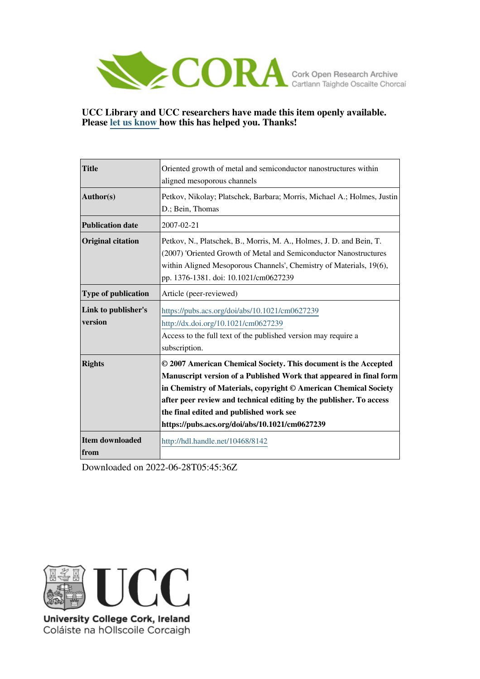

## **UCC Library and UCC researchers have made this item openly available. Please [let us know h](https://libguides.ucc.ie/openaccess/impact?suffix=8142&title=Oriented growth of metal and semiconductor nanostructures within aligned mesoporous channels)ow this has helped you. Thanks!**

| <b>Title</b>                   | Oriented growth of metal and semiconductor nanostructures within<br>aligned mesoporous channels                                                                                                                                                                                                                                                                               |
|--------------------------------|-------------------------------------------------------------------------------------------------------------------------------------------------------------------------------------------------------------------------------------------------------------------------------------------------------------------------------------------------------------------------------|
| Author(s)                      | Petkov, Nikolay; Platschek, Barbara; Morris, Michael A.; Holmes, Justin<br>D.; Bein, Thomas                                                                                                                                                                                                                                                                                   |
| <b>Publication date</b>        | 2007-02-21                                                                                                                                                                                                                                                                                                                                                                    |
| <b>Original citation</b>       | Petkov, N., Platschek, B., Morris, M. A., Holmes, J. D. and Bein, T.<br>(2007) 'Oriented Growth of Metal and Semiconductor Nanostructures<br>within Aligned Mesoporous Channels', Chemistry of Materials, 19(6),<br>pp. 1376-1381. doi: 10.1021/cm0627239                                                                                                                     |
| <b>Type of publication</b>     | Article (peer-reviewed)                                                                                                                                                                                                                                                                                                                                                       |
| Link to publisher's<br>version | https://pubs.acs.org/doi/abs/10.1021/cm0627239<br>http://dx.doi.org/10.1021/cm0627239<br>Access to the full text of the published version may require a<br>subscription.                                                                                                                                                                                                      |
| <b>Rights</b>                  | © 2007 American Chemical Society. This document is the Accepted<br>Manuscript version of a Published Work that appeared in final form<br>in Chemistry of Materials, copyright © American Chemical Society<br>after peer review and technical editing by the publisher. To access<br>the final edited and published work see<br>https://pubs.acs.org/doi/abs/10.1021/cm0627239 |
| Item downloaded<br>from        | http://hdl.handle.net/10468/8142                                                                                                                                                                                                                                                                                                                                              |

Downloaded on 2022-06-28T05:45:36Z



University College Cork, Ireland Coláiste na hOllscoile Corcaigh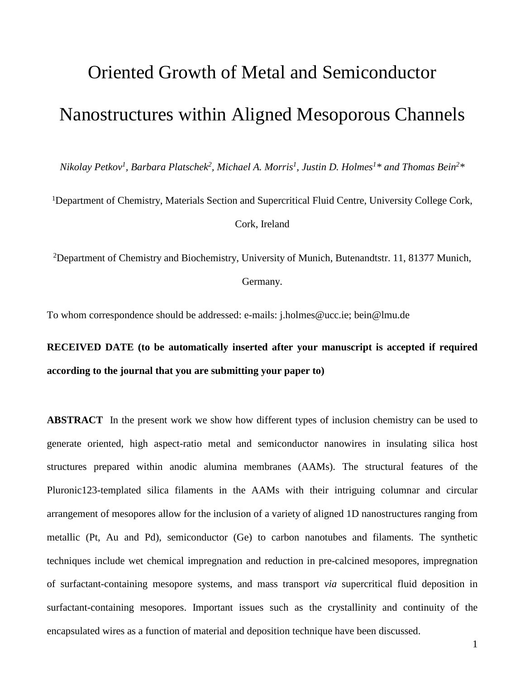# Oriented Growth of Metal and Semiconductor Nanostructures within Aligned Mesoporous Channels

*Nikolay Petkov1, Barbara Platschek2, Michael A. Morris1, Justin D. Holmes1\* and Thomas Bein2\**

<sup>1</sup>Department of Chemistry, Materials Section and Supercritical Fluid Centre, University College Cork, Cork, Ireland

2Department of Chemistry and Biochemistry, University of Munich, Butenandtstr. 11, 81377 Munich,

Germany.

To whom correspondence should be addressed: e-mails: j.holmes@ucc.ie; bein@lmu.de

**RECEIVED DATE (to be automatically inserted after your manuscript is accepted if required according to the journal that you are submitting your paper to)**

**ABSTRACT** In the present work we show how different types of inclusion chemistry can be used to generate oriented, high aspect-ratio metal and semiconductor nanowires in insulating silica host structures prepared within anodic alumina membranes (AAMs). The structural features of the Pluronic123-templated silica filaments in the AAMs with their intriguing columnar and circular arrangement of mesopores allow for the inclusion of a variety of aligned 1D nanostructures ranging from metallic (Pt, Au and Pd), semiconductor (Ge) to carbon nanotubes and filaments. The synthetic techniques include wet chemical impregnation and reduction in pre-calcined mesopores, impregnation of surfactant-containing mesopore systems, and mass transport *via* supercritical fluid deposition in surfactant-containing mesopores. Important issues such as the crystallinity and continuity of the encapsulated wires as a function of material and deposition technique have been discussed.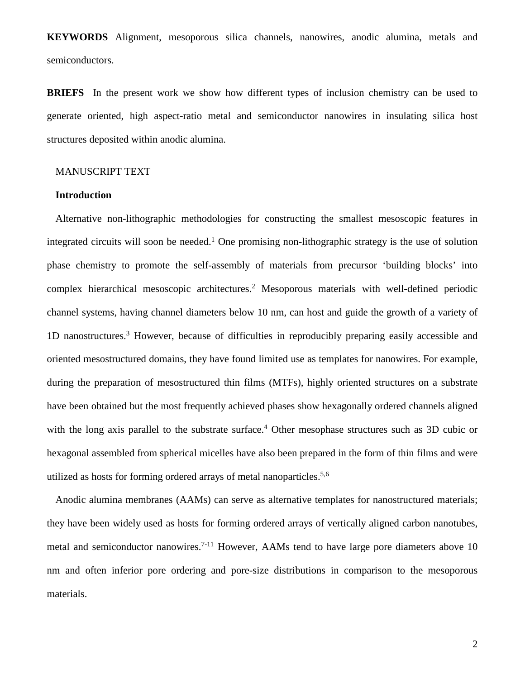**KEYWORDS** Alignment, mesoporous silica channels, nanowires, anodic alumina, metals and semiconductors.

**BRIEFS** In the present work we show how different types of inclusion chemistry can be used to generate oriented, high aspect-ratio metal and semiconductor nanowires in insulating silica host structures deposited within anodic alumina.

## MANUSCRIPT TEXT

### **Introduction**

Alternative non-lithographic methodologies for constructing the smallest mesoscopic features in integrated circuits will soon be needed.<sup>1</sup> One promising non-lithographic strategy is the use of solution phase chemistry to promote the self-assembly of materials from precursor 'building blocks' into complex hierarchical mesoscopic architectures.2 Mesoporous materials with well-defined periodic channel systems, having channel diameters below 10 nm, can host and guide the growth of a variety of 1D nanostructures.3 However, because of difficulties in reproducibly preparing easily accessible and oriented mesostructured domains, they have found limited use as templates for nanowires. For example, during the preparation of mesostructured thin films (MTFs), highly oriented structures on a substrate have been obtained but the most frequently achieved phases show hexagonally ordered channels aligned with the long axis parallel to the substrate surface.<sup>4</sup> Other mesophase structures such as 3D cubic or hexagonal assembled from spherical micelles have also been prepared in the form of thin films and were utilized as hosts for forming ordered arrays of metal nanoparticles.<sup>5,6</sup>

Anodic alumina membranes (AAMs) can serve as alternative templates for nanostructured materials; they have been widely used as hosts for forming ordered arrays of vertically aligned carbon nanotubes, metal and semiconductor nanowires.<sup>7-11</sup> However, AAMs tend to have large pore diameters above 10 nm and often inferior pore ordering and pore-size distributions in comparison to the mesoporous materials.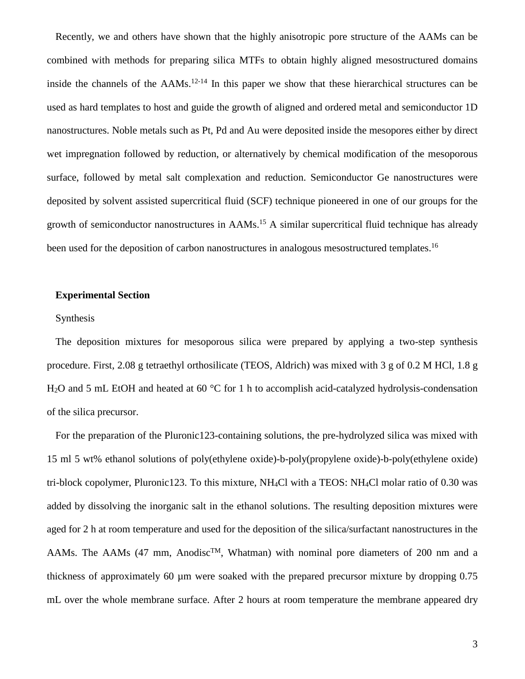Recently, we and others have shown that the highly anisotropic pore structure of the AAMs can be combined with methods for preparing silica MTFs to obtain highly aligned mesostructured domains inside the channels of the  $AAMs$ <sup>12-14</sup> In this paper we show that these hierarchical structures can be used as hard templates to host and guide the growth of aligned and ordered metal and semiconductor 1D nanostructures. Noble metals such as Pt, Pd and Au were deposited inside the mesopores either by direct wet impregnation followed by reduction, or alternatively by chemical modification of the mesoporous surface, followed by metal salt complexation and reduction. Semiconductor Ge nanostructures were deposited by solvent assisted supercritical fluid (SCF) technique pioneered in one of our groups for the growth of semiconductor nanostructures in AAMs.<sup>15</sup> A similar supercritical fluid technique has already been used for the deposition of carbon nanostructures in analogous mesostructured templates.<sup>16</sup>

### **Experimental Section**

### Synthesis

The deposition mixtures for mesoporous silica were prepared by applying a two-step synthesis procedure. First, 2.08 g tetraethyl orthosilicate (TEOS, Aldrich) was mixed with 3 g of 0.2 M HCl, 1.8 g H<sub>2</sub>O and 5 mL EtOH and heated at 60 °C for 1 h to accomplish acid-catalyzed hydrolysis-condensation of the silica precursor.

For the preparation of the Pluronic123-containing solutions, the pre-hydrolyzed silica was mixed with 15 ml 5 wt% ethanol solutions of poly(ethylene oxide)-b-poly(propylene oxide)-b-poly(ethylene oxide) tri-block copolymer, Pluronic123. To this mixture, NH4Cl with a TEOS: NH4Cl molar ratio of 0.30 was added by dissolving the inorganic salt in the ethanol solutions. The resulting deposition mixtures were aged for 2 h at room temperature and used for the deposition of the silica/surfactant nanostructures in the AAMs. The AAMs (47 mm, Anodisc<sup>TM</sup>, Whatman) with nominal pore diameters of 200 nm and a thickness of approximately 60 µm were soaked with the prepared precursor mixture by dropping 0.75 mL over the whole membrane surface. After 2 hours at room temperature the membrane appeared dry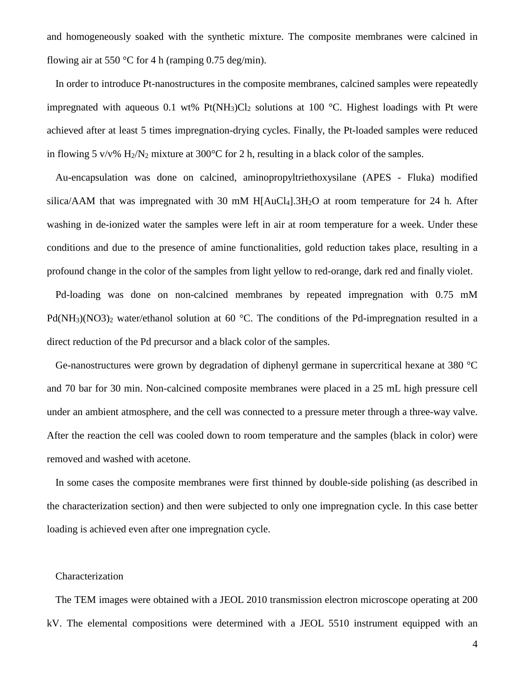and homogeneously soaked with the synthetic mixture. The composite membranes were calcined in flowing air at 550 °C for 4 h (ramping 0.75 deg/min).

In order to introduce Pt-nanostructures in the composite membranes, calcined samples were repeatedly impregnated with aqueous 0.1 wt% Pt(NH<sub>3</sub>)Cl<sub>2</sub> solutions at 100 °C. Highest loadings with Pt were achieved after at least 5 times impregnation-drying cycles. Finally, the Pt-loaded samples were reduced in flowing 5 v/v%  $H_2/N_2$  mixture at 300°C for 2 h, resulting in a black color of the samples.

Au-encapsulation was done on calcined, aminopropyltriethoxysilane (APES - Fluka) modified silica/AAM that was impregnated with 30 mM  $H[AuCl<sub>4</sub>].3H<sub>2</sub>O$  at room temperature for 24 h. After washing in de-ionized water the samples were left in air at room temperature for a week. Under these conditions and due to the presence of amine functionalities, gold reduction takes place, resulting in a profound change in the color of the samples from light yellow to red-orange, dark red and finally violet.

Pd-loading was done on non-calcined membranes by repeated impregnation with 0.75 mM  $Pd(NH_3)(NO3)_2$  water/ethanol solution at 60 °C. The conditions of the Pd-impregnation resulted in a direct reduction of the Pd precursor and a black color of the samples.

Ge-nanostructures were grown by degradation of diphenyl germane in supercritical hexane at 380 °C and 70 bar for 30 min. Non-calcined composite membranes were placed in a 25 mL high pressure cell under an ambient atmosphere, and the cell was connected to a pressure meter through a three-way valve. After the reaction the cell was cooled down to room temperature and the samples (black in color) were removed and washed with acetone.

In some cases the composite membranes were first thinned by double-side polishing (as described in the characterization section) and then were subjected to only one impregnation cycle. In this case better loading is achieved even after one impregnation cycle.

## Characterization

The TEM images were obtained with a JEOL 2010 transmission electron microscope operating at 200 kV. The elemental compositions were determined with a JEOL 5510 instrument equipped with an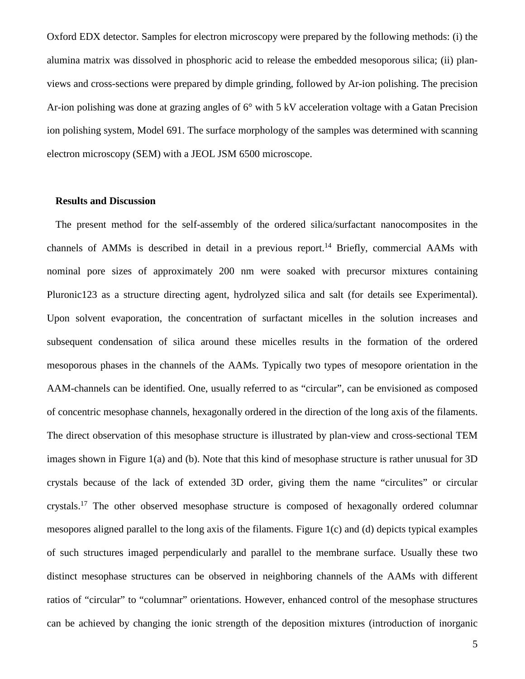Oxford EDX detector. Samples for electron microscopy were prepared by the following methods: (i) the alumina matrix was dissolved in phosphoric acid to release the embedded mesoporous silica; (ii) planviews and cross-sections were prepared by dimple grinding, followed by Ar-ion polishing. The precision Ar-ion polishing was done at grazing angles of 6° with 5 kV acceleration voltage with a Gatan Precision ion polishing system, Model 691. The surface morphology of the samples was determined with scanning electron microscopy (SEM) with a JEOL JSM 6500 microscope.

#### **Results and Discussion**

The present method for the self-assembly of the ordered silica/surfactant nanocomposites in the channels of AMMs is described in detail in a previous report.<sup>14</sup> Briefly, commercial AAMs with nominal pore sizes of approximately 200 nm were soaked with precursor mixtures containing Pluronic123 as a structure directing agent, hydrolyzed silica and salt (for details see Experimental). Upon solvent evaporation, the concentration of surfactant micelles in the solution increases and subsequent condensation of silica around these micelles results in the formation of the ordered mesoporous phases in the channels of the AAMs. Typically two types of mesopore orientation in the AAM-channels can be identified. One, usually referred to as "circular", can be envisioned as composed of concentric mesophase channels, hexagonally ordered in the direction of the long axis of the filaments. The direct observation of this mesophase structure is illustrated by plan-view and cross-sectional TEM images shown in Figure 1(a) and (b). Note that this kind of mesophase structure is rather unusual for 3D crystals because of the lack of extended 3D order, giving them the name "circulites" or circular crystals.17 The other observed mesophase structure is composed of hexagonally ordered columnar mesopores aligned parallel to the long axis of the filaments. Figure 1(c) and (d) depicts typical examples of such structures imaged perpendicularly and parallel to the membrane surface. Usually these two distinct mesophase structures can be observed in neighboring channels of the AAMs with different ratios of "circular" to "columnar" orientations. However, enhanced control of the mesophase structures can be achieved by changing the ionic strength of the deposition mixtures (introduction of inorganic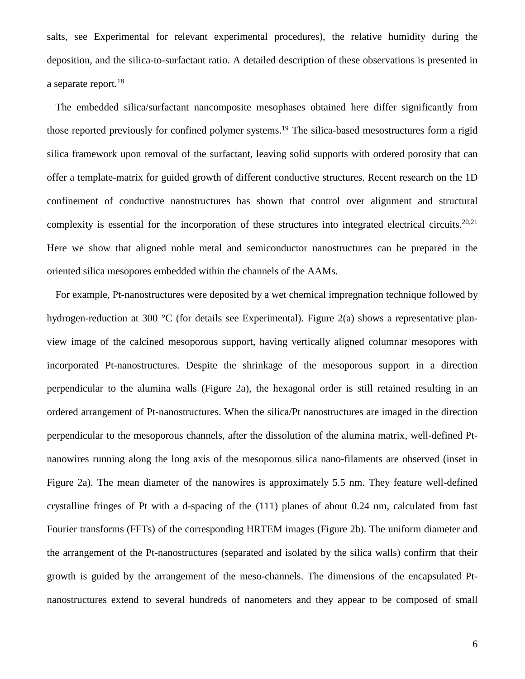salts, see Experimental for relevant experimental procedures), the relative humidity during the deposition, and the silica-to-surfactant ratio. A detailed description of these observations is presented in a separate report. $18$ 

The embedded silica/surfactant nancomposite mesophases obtained here differ significantly from those reported previously for confined polymer systems.19 The silica-based mesostructures form a rigid silica framework upon removal of the surfactant, leaving solid supports with ordered porosity that can offer a template-matrix for guided growth of different conductive structures. Recent research on the 1D confinement of conductive nanostructures has shown that control over alignment and structural complexity is essential for the incorporation of these structures into integrated electrical circuits.<sup>20,21</sup> Here we show that aligned noble metal and semiconductor nanostructures can be prepared in the oriented silica mesopores embedded within the channels of the AAMs.

For example, Pt-nanostructures were deposited by a wet chemical impregnation technique followed by hydrogen-reduction at 300 °C (for details see Experimental). Figure 2(a) shows a representative planview image of the calcined mesoporous support, having vertically aligned columnar mesopores with incorporated Pt-nanostructures. Despite the shrinkage of the mesoporous support in a direction perpendicular to the alumina walls (Figure 2a), the hexagonal order is still retained resulting in an ordered arrangement of Pt-nanostructures. When the silica/Pt nanostructures are imaged in the direction perpendicular to the mesoporous channels, after the dissolution of the alumina matrix, well-defined Ptnanowires running along the long axis of the mesoporous silica nano-filaments are observed (inset in Figure 2a). The mean diameter of the nanowires is approximately 5.5 nm. They feature well-defined crystalline fringes of Pt with a d-spacing of the (111) planes of about 0.24 nm, calculated from fast Fourier transforms (FFTs) of the corresponding HRTEM images (Figure 2b). The uniform diameter and the arrangement of the Pt-nanostructures (separated and isolated by the silica walls) confirm that their growth is guided by the arrangement of the meso-channels. The dimensions of the encapsulated Ptnanostructures extend to several hundreds of nanometers and they appear to be composed of small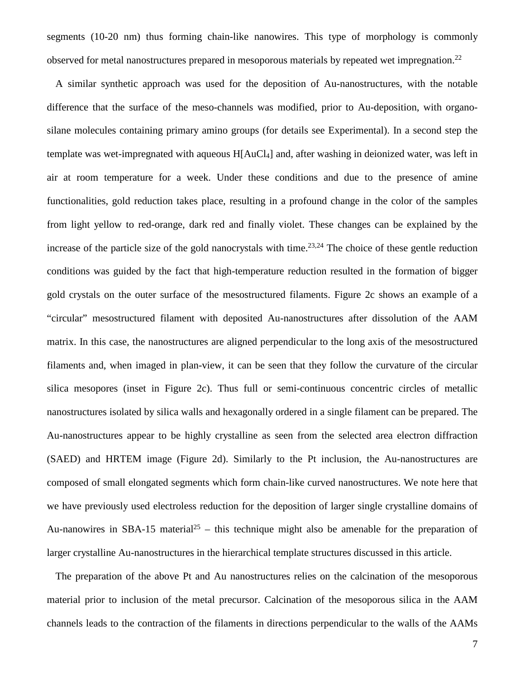segments (10-20 nm) thus forming chain-like nanowires. This type of morphology is commonly observed for metal nanostructures prepared in mesoporous materials by repeated wet impregnation.<sup>22</sup>

A similar synthetic approach was used for the deposition of Au-nanostructures, with the notable difference that the surface of the meso-channels was modified, prior to Au-deposition, with organosilane molecules containing primary amino groups (for details see Experimental). In a second step the template was wet-impregnated with aqueous H[AuCl4] and, after washing in deionized water, was left in air at room temperature for a week. Under these conditions and due to the presence of amine functionalities, gold reduction takes place, resulting in a profound change in the color of the samples from light yellow to red-orange, dark red and finally violet. These changes can be explained by the increase of the particle size of the gold nanocrystals with time.<sup>23,24</sup> The choice of these gentle reduction conditions was guided by the fact that high-temperature reduction resulted in the formation of bigger gold crystals on the outer surface of the mesostructured filaments. Figure 2c shows an example of a "circular" mesostructured filament with deposited Au-nanostructures after dissolution of the AAM matrix. In this case, the nanostructures are aligned perpendicular to the long axis of the mesostructured filaments and, when imaged in plan-view, it can be seen that they follow the curvature of the circular silica mesopores (inset in Figure 2c). Thus full or semi-continuous concentric circles of metallic nanostructures isolated by silica walls and hexagonally ordered in a single filament can be prepared. The Au-nanostructures appear to be highly crystalline as seen from the selected area electron diffraction (SAED) and HRTEM image (Figure 2d). Similarly to the Pt inclusion, the Au-nanostructures are composed of small elongated segments which form chain-like curved nanostructures. We note here that we have previously used electroless reduction for the deposition of larger single crystalline domains of Au-nanowires in SBA-15 material<sup>25</sup> – this technique might also be amenable for the preparation of larger crystalline Au-nanostructures in the hierarchical template structures discussed in this article.

The preparation of the above Pt and Au nanostructures relies on the calcination of the mesoporous material prior to inclusion of the metal precursor. Calcination of the mesoporous silica in the AAM channels leads to the contraction of the filaments in directions perpendicular to the walls of the AAMs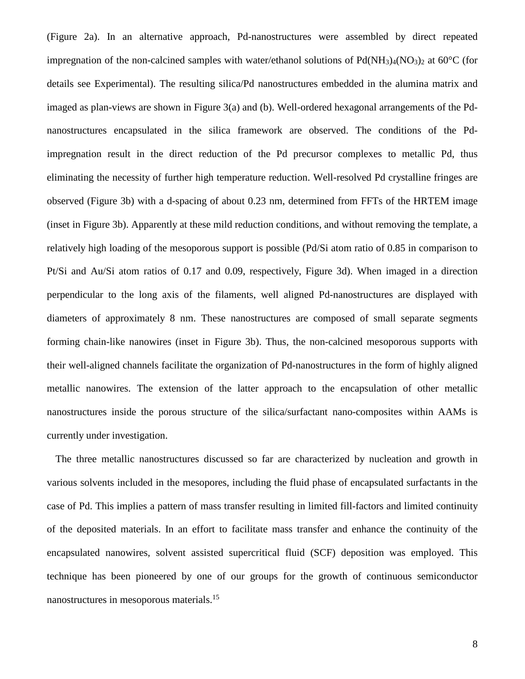(Figure 2a). In an alternative approach, Pd-nanostructures were assembled by direct repeated impregnation of the non-calcined samples with water/ethanol solutions of  $Pd(NH<sub>3</sub>)<sub>4</sub>(NO<sub>3</sub>)<sub>2</sub>$  at 60<sup>o</sup>C (for details see Experimental). The resulting silica/Pd nanostructures embedded in the alumina matrix and imaged as plan-views are shown in Figure 3(a) and (b). Well-ordered hexagonal arrangements of the Pdnanostructures encapsulated in the silica framework are observed. The conditions of the Pdimpregnation result in the direct reduction of the Pd precursor complexes to metallic Pd, thus eliminating the necessity of further high temperature reduction. Well-resolved Pd crystalline fringes are observed (Figure 3b) with a d-spacing of about 0.23 nm, determined from FFTs of the HRTEM image (inset in Figure 3b). Apparently at these mild reduction conditions, and without removing the template, a relatively high loading of the mesoporous support is possible (Pd/Si atom ratio of 0.85 in comparison to Pt/Si and Au/Si atom ratios of 0.17 and 0.09, respectively, Figure 3d). When imaged in a direction perpendicular to the long axis of the filaments, well aligned Pd-nanostructures are displayed with diameters of approximately 8 nm. These nanostructures are composed of small separate segments forming chain-like nanowires (inset in Figure 3b). Thus, the non-calcined mesoporous supports with their well-aligned channels facilitate the organization of Pd-nanostructures in the form of highly aligned metallic nanowires. The extension of the latter approach to the encapsulation of other metallic nanostructures inside the porous structure of the silica/surfactant nano-composites within AAMs is currently under investigation.

The three metallic nanostructures discussed so far are characterized by nucleation and growth in various solvents included in the mesopores, including the fluid phase of encapsulated surfactants in the case of Pd. This implies a pattern of mass transfer resulting in limited fill-factors and limited continuity of the deposited materials. In an effort to facilitate mass transfer and enhance the continuity of the encapsulated nanowires, solvent assisted supercritical fluid (SCF) deposition was employed. This technique has been pioneered by one of our groups for the growth of continuous semiconductor nanostructures in mesoporous materials.15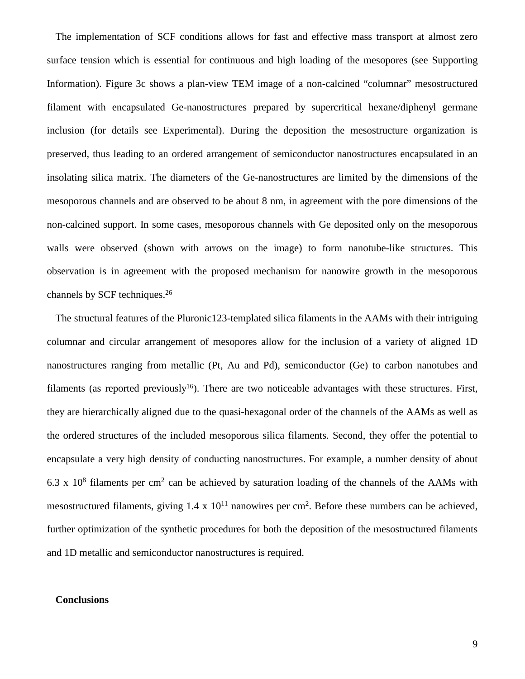The implementation of SCF conditions allows for fast and effective mass transport at almost zero surface tension which is essential for continuous and high loading of the mesopores (see Supporting Information). Figure 3c shows a plan-view TEM image of a non-calcined "columnar" mesostructured filament with encapsulated Ge-nanostructures prepared by supercritical hexane/diphenyl germane inclusion (for details see Experimental). During the deposition the mesostructure organization is preserved, thus leading to an ordered arrangement of semiconductor nanostructures encapsulated in an insolating silica matrix. The diameters of the Ge-nanostructures are limited by the dimensions of the mesoporous channels and are observed to be about 8 nm, in agreement with the pore dimensions of the non-calcined support. In some cases, mesoporous channels with Ge deposited only on the mesoporous walls were observed (shown with arrows on the image) to form nanotube-like structures. This observation is in agreement with the proposed mechanism for nanowire growth in the mesoporous channels by SCF techniques.26

The structural features of the Pluronic123-templated silica filaments in the AAMs with their intriguing columnar and circular arrangement of mesopores allow for the inclusion of a variety of aligned 1D nanostructures ranging from metallic (Pt, Au and Pd), semiconductor (Ge) to carbon nanotubes and filaments (as reported previously<sup>16</sup>). There are two noticeable advantages with these structures. First, they are hierarchically aligned due to the quasi-hexagonal order of the channels of the AAMs as well as the ordered structures of the included mesoporous silica filaments. Second, they offer the potential to encapsulate a very high density of conducting nanostructures. For example, a number density of about 6.3 x  $10^8$  filaments per cm<sup>2</sup> can be achieved by saturation loading of the channels of the AAMs with mesostructured filaments, giving  $1.4 \times 10^{11}$  nanowires per cm<sup>2</sup>. Before these numbers can be achieved, further optimization of the synthetic procedures for both the deposition of the mesostructured filaments and 1D metallic and semiconductor nanostructures is required.

## **Conclusions**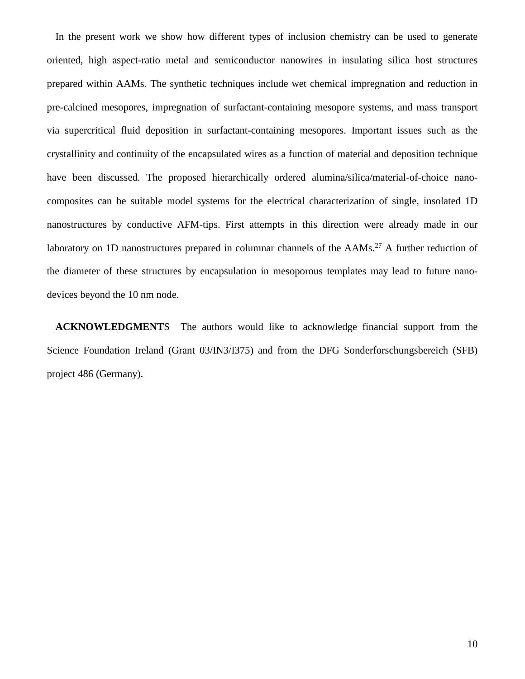In the present work we show how different types of inclusion chemistry can be used to generate oriented, high aspect-ratio metal and semiconductor nanowires in insulating silica host structures prepared within AAMs. The synthetic techniques include wet chemical impregnation and reduction in pre-calcined mesopores, impregnation of surfactant-containing mesopore systems, and mass transport via supercritical fluid deposition in surfactant-containing mesopores. Important issues such as the crystallinity and continuity of the encapsulated wires as a function of material and deposition technique have been discussed. The proposed hierarchically ordered alumina/silica/material-of-choice nanocomposites can be suitable model systems for the electrical characterization of single, insolated 1D nanostructures by conductive AFM-tips. First attempts in this direction were already made in our laboratory on 1D nanostructures prepared in columnar channels of the AAMs.<sup>27</sup> A further reduction of the diameter of these structures by encapsulation in mesoporous templates may lead to future nanodevices beyond the 10 nm node.

**ACKNOWLEDGMENT**S The authors would like to acknowledge financial support from the Science Foundation Ireland (Grant 03/IN3/I375) and from the DFG Sonderforschungsbereich (SFB) project 486 (Germany).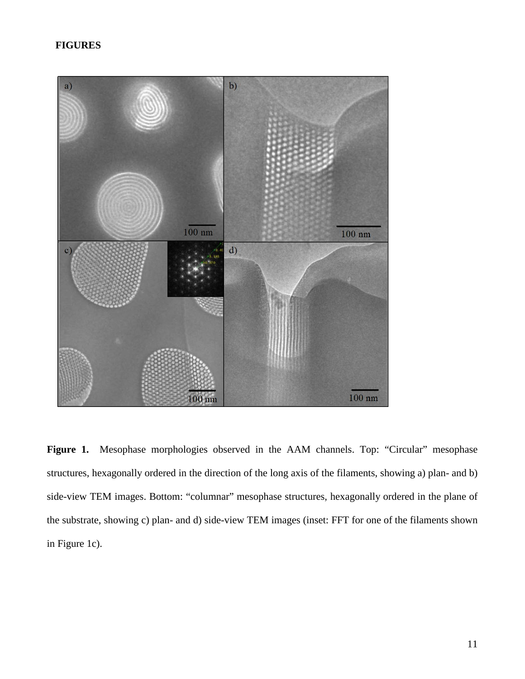## **FIGURES**



Figure 1. Mesophase morphologies observed in the AAM channels. Top: "Circular" mesophase structures, hexagonally ordered in the direction of the long axis of the filaments, showing a) plan- and b) side-view TEM images. Bottom: "columnar" mesophase structures, hexagonally ordered in the plane of the substrate, showing c) plan- and d) side-view TEM images (inset: FFT for one of the filaments shown in Figure 1c).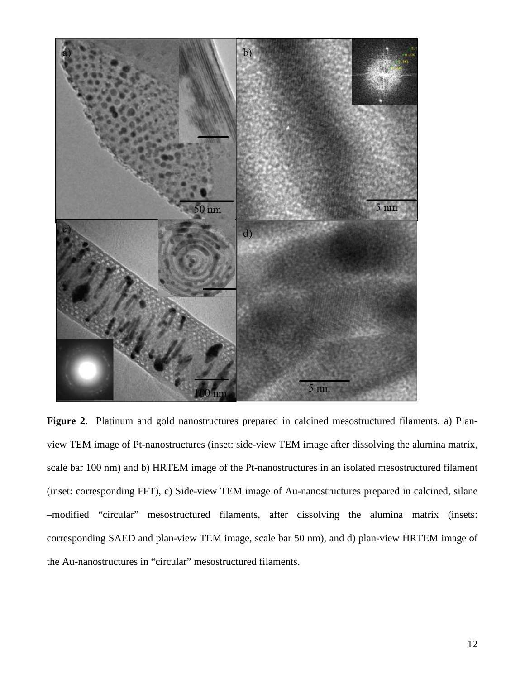

**Figure 2**. Platinum and gold nanostructures prepared in calcined mesostructured filaments. a) Planview TEM image of Pt-nanostructures (inset: side-view TEM image after dissolving the alumina matrix, scale bar 100 nm) and b) HRTEM image of the Pt-nanostructures in an isolated mesostructured filament (inset: corresponding FFT), c) Side-view TEM image of Au-nanostructures prepared in calcined, silane –modified "circular" mesostructured filaments, after dissolving the alumina matrix (insets: corresponding SAED and plan-view TEM image, scale bar 50 nm), and d) plan-view HRTEM image of the Au-nanostructures in "circular" mesostructured filaments.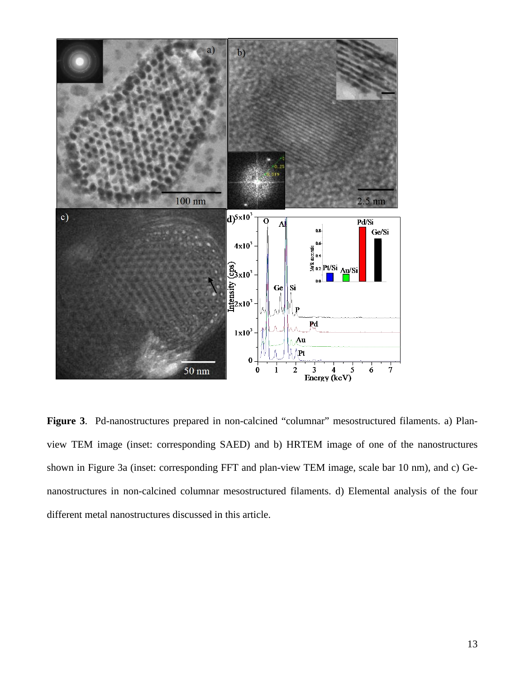

Figure 3. Pd-nanostructures prepared in non-calcined "columnar" mesostructured filaments. a) Planview TEM image (inset: corresponding SAED) and b) HRTEM image of one of the nanostructures shown in Figure 3a (inset: corresponding FFT and plan-view TEM image, scale bar 10 nm), and c) Genanostructures in non-calcined columnar mesostructured filaments. d) Elemental analysis of the four different metal nanostructures discussed in this article.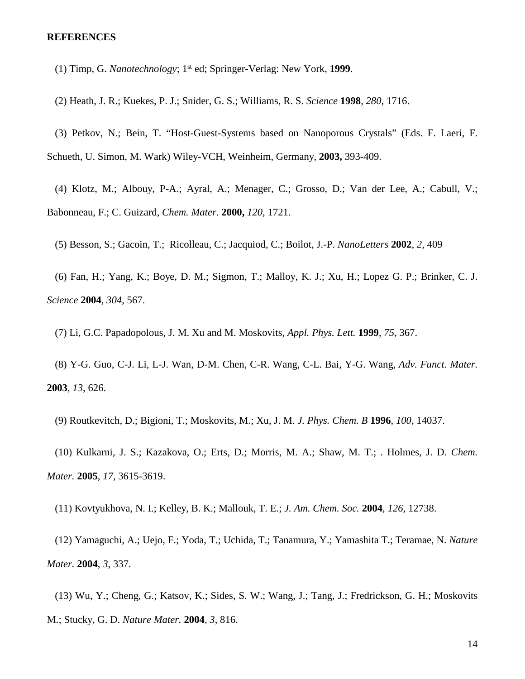#### **REFERENCES**

- (1) Timp, G. *Nanotechnology*; 1st ed; Springer-Verlag: New York, **1999**.
- (2) Heath, J. R.; Kuekes, P. J.; Snider, G. S.; Williams, R. S. *Science* **1998**, *280*, 1716.

(3) Petkov, N.; Bein, T. "Host-Guest-Systems based on Nanoporous Crystals" (Eds. F. Laeri, F. Schueth, U. Simon, M. Wark) Wiley-VCH, Weinheim, Germany, **2003,** 393-409.

(4) Klotz, M.; Albouy, P-A.; Ayral, A.; Menager, C.; Grosso, D.; Van der Lee, A.; Cabull, V.; Babonneau, F.; C. Guizard, *Chem. Mater*. **2000,** *120*, 1721.

(5) Besson, S.; Gacoin, T.; Ricolleau, C.; Jacquiod, C.; Boilot, J.-P. *NanoLetters* **2002**, *2*, 409

(6) Fan, H.; Yang, K.; Boye, D. M.; Sigmon, T.; Malloy, K. J.; Xu, H.; Lopez G. P.; Brinker, C. J. *Science* **2004**, *304*, 567.

(7) Li, G.C. Papadopolous, J. M. Xu and M. Moskovits, *Appl. Phys. Lett.* **1999**, *75*, 367.

(8) Y-G. Guo, C-J. Li, L-J. Wan, D-M. Chen, C-R. Wang, C-L. Bai, Y-G. Wang, *Adv. Funct. Mater.* **2003**, *13*, 626.

(9) Routkevitch, D.; Bigioni, T.; Moskovits, M.; Xu, J. M. *J. Phys. Chem. B* **1996**, *100*, 14037.

(10) Kulkarni, J. S.; Kazakova, O.; Erts, D.; Morris, M. A.; Shaw, M. T.; . Holmes, J. D. *Chem. Mater.* **2005**, *17*, 3615-3619.

(11) Kovtyukhova, N. I.; Kelley, B. K.; Mallouk, T. E.; *J. Am. Chem. Soc.* **2004**, *126,* 12738.

(12) Yamaguchi, A.; Uejo, F.; Yoda, T.; Uchida, T.; Tanamura, Y.; Yamashita T.; Teramae, N. *Nature Mater.* **2004**, *3*, 337.

(13) Wu, Y.; Cheng, G.; Katsov, K.; Sides, S. W.; Wang, J.; Tang, J.; Fredrickson, G. H.; Moskovits M.; Stucky, G. D. *Nature Mater.* **2004**, *3*, 816.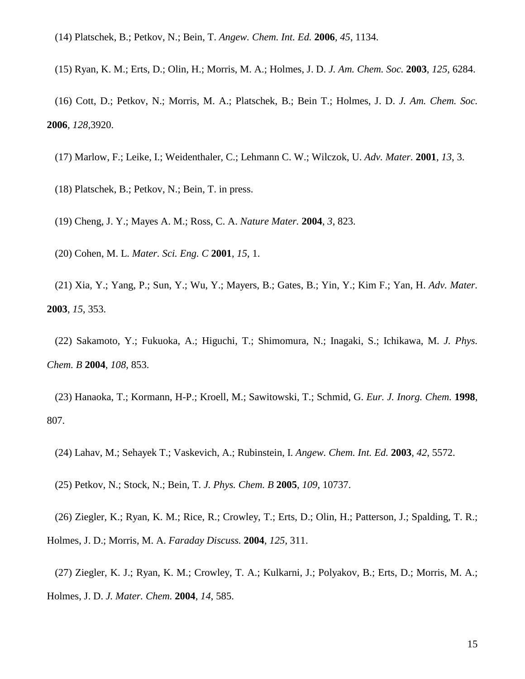- (14) Platschek, B.; Petkov, N.; Bein, T. *Angew. Chem. Int. Ed.* **2006**, *45*, 1134.
- (15) Ryan, K. M.; Erts, D.; Olin, H.; Morris, M. A.; Holmes, J. D. *J. Am. Chem. Soc.* **2003**, *125*, 6284.

(16) Cott, D.; Petkov, N.; Morris, M. A.; Platschek, B.; Bein T.; Holmes, J. D. *J. Am. Chem. Soc.*  **2006***, 128,*3920.

- (17) Marlow, F.; Leike, I.; Weidenthaler, C.; Lehmann C. W.; Wilczok, U. *Adv. Mater.* **2001**, *13*, 3.
- (18) Platschek, B.; Petkov, N.; Bein, T. in press.
- (19) Cheng, J. Y.; Mayes A. M.; Ross*,* C. A. *Nature Mater.* **2004**, *3*, 823.
- (20) Cohen, M. L. *Mater. Sci. Eng. C* **2001**, *15*, 1.

(21) Xia, Y.; Yang, P.; Sun, Y.; Wu, Y.; Mayers, B.; Gates, B.; Yin, Y.; Kim F.; Yan, H. *Adv. Mater.* **2003**, *15*, 353.

(22) Sakamoto, Y.; Fukuoka, A.; Higuchi, T.; Shimomura, N.; Inagaki, S.; Ichikawa, M. *J. Phys. Chem. B* **2004**, *108*, 853.

(23) Hanaoka, T.; Kormann, H-P.; Kroell, M.; Sawitowski, T.; Schmid, G. *Eur. J. Inorg. Chem.* **1998**, 807.

- (24) Lahav, M.; Sehayek T.; Vaskevich, A.; Rubinstein, I. *Angew. Chem. Int. Ed.* **2003**, *42*, 5572.
- (25) Petkov, N.; Stock, N.; Bein, T. *J. Phys. Chem. B* **2005**, *109*, 10737.

(26) Ziegler, K.; Ryan, K. M.; Rice, R.; Crowley, T.; Erts, D.; Olin, H.; Patterson, J.; Spalding, T. R.; Holmes, J. D.; Morris, M. A. *Faraday Discuss.* **2004**, *125*, 311.

(27) Ziegler, K. J.; Ryan, K. M.; Crowley, T. A.; Kulkarni, J.; Polyakov, B.; Erts, D.; Morris, M. A.; Holmes, J. D. *J. Mater. Chem.* **2004**, *14*, 585.